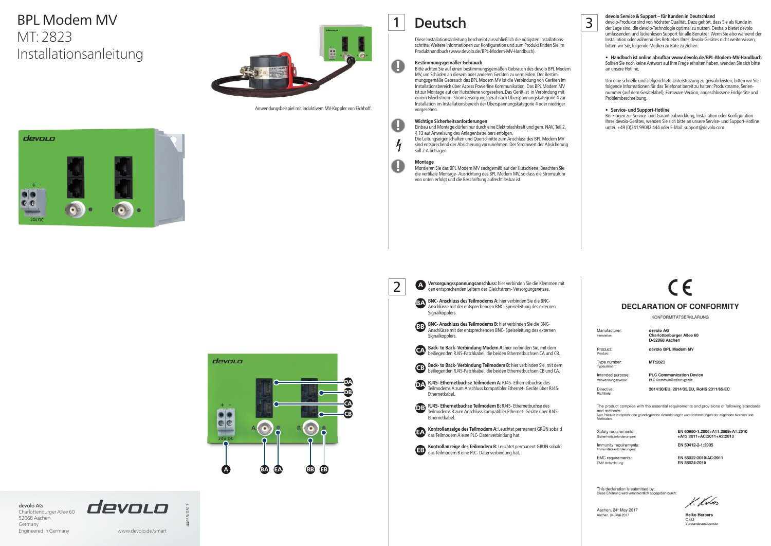

**Versorgungsspannungsanschluss:** hier verbinden Sie die Klemmen mit den entsprechenden Leitern des Gleichstrom- Versorgungsnetzes.

**BNC- Anschluss des Teilmodems A:** hier verbinden Sie die BNC-Anschlüsse mit der entsprechenden BNC- Speiseleitung des externen Signalkopplers.

**Back- to Back- Verbindung Modem A:** hier verbinden Sie, mit dem Back- to Back- Verbindung Modem A: hier verbinden Sie, mit dem<br>beiliegenden RJ45-Patchkabel, die beiden Ethernetbuchsen CA und CB.

**Back- to Back- Verbindung Teilmodem B:** hier verbinden Sie, mit dem Back- to Back- Verbindung Teilmodem B: hier verbinden Sie, mit der<br>beiliegenden RJ45-Patchkabel, die beiden Ethernetbuchsen CB und CA.



**RJ45- Ethernetbuchse Teilmodem A: RJ45- Ethernetbuchse des** Teilmodems A zum Anschluss kompatibler Ethernet- Geräte über RJ45- Ethernetkabel.

**RJ45- Ethernetbuchse Teilmodem B: RJ45- Ethernetbuchse des** Teilmodems B zum Anschluss kompatibler Ethernet- Geräte über RJ45- Ethernetkabel.

**Kontrollanzeige des Teilmodem B:** Leuchtet permanent GRÜN sobald **EB** Kontrollanzeige des Teilmodem B: Leuchtet pe<br>das Teilmodem B eine PLC- Datenverbindung hat.

**Deutsch** devolo Service & Support – für Kunden in Deutschland<br>
alevolo-Produkte sind von höchster Qualität. Dazu gehört, da devolo-Produkte sind von höchster Qualität. Dazu gehört, dass Sie als Kunde in der Lage sind, die devolo-Technologie optimal zu nutzen. Deshalb bietet devolo umfassenden und lückenlosen Support für alle Benutzer. Wenn Sie also während der Installation oder während des Betriebes Ihres devolo-Gerätes nicht weiterwissen, bitten wir Sie, folgende Medien zu Rate zu ziehen:

## • Handbuch ist online abrufbar www.devolo.de/BPL-Modem-MV-Handbuch

# BPL Modem MV MT: 2823 Installationsanleitung



Sollten Sie noch keine Antwort auf Ihre Frage erhalten haben, wenden Sie sich bitte an unsere Hotline.

Um eine schnelle und zielgerichtete Unterstützung zu gewährleisten, bitten wir Sie, folgende Informationen für das Telefonat bereit zu halten: Produktname, Seriennummer (auf dem Gerätelabel), Firmware-Version, angeschlossene Endgeräte und Problembeschreibung.

# **•** Service- und Support-Hotline

Bei Fragen zur Service- und Garantieabwicklung, Installation oder Konfiguration Ihres devolo-Gerätes, wenden Sie sich bitte an unsere Service- und Support-Hotline unter: +49 (0)241 99082 444 oder E-Mail: support@devolo.com



# **DECLARATION OF CONFORMITY**

KONFORMITÄTSERKLÄRUNG

devolo AG Charlottenburger Allee 60 D-52068 Aacher

devolo BPL Modem MV

MT:2823

**PLC Communication Device** PLC Kommunikationsgerät

2014/30/EU, 2014/35/EU, RoHS 2011/65/EC

The product complies with the essential requirements and provisions of following standards and methods:<br>Das Produkt entspricht den grundlegenden Anforderungen und Bestimmungen der folgenden Normen und

Safety requirements:

Manufacturer:

Type number: Intended purpose

Verwendungsz Directive:

Hersteller:

Product:

Produkt

Immunity requirements:

EMC requirements: EMV Anforderung:

EN 60950-1:2006+A11:2009+A1:2010 +A12:2011+AC:2011+A2:2013 EN 50412-2-1:2005

EN 55022:2010/AC:2011 EN 55024:2010

This declaration is submitted by:<br>Diese Erklärung wird verantwortlich abgegeben durch

Aachen, 24<sup>th</sup> May 2017 Aachen, 24. Mai 2017

K. Kr6n

**Heiko Harbers** CEO

devolo AG Charlottenburger Allee 60 52068 Aachen Germany Engineered in Germany www.devolo.de/smart





44655/0517

Diese Installationsanleitung beschreibt ausschließlich die nötigsten Installationsschritte. Weitere Informationen zur Konfiguration und zum Produkt finden Sie im Produkthandbuch (www.devolo.de/BPL-Modem-MV-Handbuch).

# **Bestimmungsgemäßer Gebrauch**

Bitte achten Sie auf einen bestimmungsgemäßen Gebrauch des devolo BPL Modem MV, um Schäden an diesem oder anderen Geräten zu vermeiden. Der Bestimmungsgemäße Gebrauch des BPL Modem MV ist die Verbindung von Geräten im Installationsbereich über Access Powerline Kommunikation. Das BPL Modem MV ist zur Montage auf der Hutschiene vorgesehen. Das Gerät ist in Verbindung mit einem Gleichstrom– Stromversorgungsgerät nach Überspannungskategorie 4 zur Installation im Installationsbereich der Überspannungskategorie 4 oder niedriger vorgesehen.

**Wichtige Sicherheitsanforderungen**

Einbau und Montage dürfen nur durch eine Elektrofachkraft und gem. NAV, Teil 2,

§ 13 auf Anweisung des Anlagenbetreibers erfolgen.

Die Leitungseigenschaften und Querschnitte zum Anschluss des BPL Modem MV sind entsprechend der Absicherung vorzunehmen. Der Stromwert der Absicherung

soll 2 A betragen.

**Montage**

Montieren Sie das BPL Modem MV sachgemäß auf der Hutschiene. Beachten Sie die vertikale Montage- Ausrichtung des BPL Modem MV, so dass die Stromzufuhr



von unten erfolgt und die Beschriftung aufrecht lesbar ist.

1

!

!

 $\frac{1}{2}$ 

**.** 

# <sup>A</sup> 2

Anwendungsbeispiel mit induktivem MV-Koppler von Eichhoff.